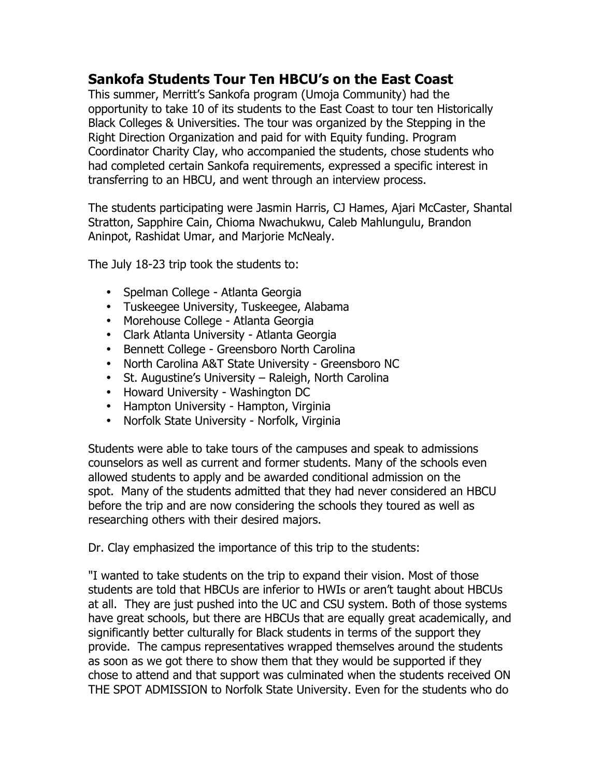# **Sankofa Students Tour Ten HBCU's on the East Coast**

This summer, Merritt's Sankofa program (Umoja Community) had the opportunity to take 10 of its students to the East Coast to tour ten Historically Black Colleges & Universities. The tour was organized by the Stepping in the Right Direction Organization and paid for with Equity funding. Program Coordinator Charity Clay, who accompanied the students, chose students who had completed certain Sankofa requirements, expressed a specific interest in transferring to an HBCU, and went through an interview process.

The students participating were Jasmin Harris, CJ Hames, Ajari McCaster, Shantal Stratton, Sapphire Cain, Chioma Nwachukwu, Caleb Mahlungulu, Brandon Aninpot, Rashidat Umar, and Marjorie McNealy.

The July 18-23 trip took the students to:

- Spelman College Atlanta Georgia
- Tuskeegee University, Tuskeegee, Alabama
- Morehouse College Atlanta Georgia
- Clark Atlanta University Atlanta Georgia
- Bennett College Greensboro North Carolina
- North Carolina A&T State University Greensboro NC
- St. Augustine's University Raleigh, North Carolina
- Howard University Washington DC
- Hampton University Hampton, Virginia
- Norfolk State University Norfolk, Virginia

Students were able to take tours of the campuses and speak to admissions counselors as well as current and former students. Many of the schools even allowed students to apply and be awarded conditional admission on the spot. Many of the students admitted that they had never considered an HBCU before the trip and are now considering the schools they toured as well as researching others with their desired majors.

Dr. Clay emphasized the importance of this trip to the students:

"I wanted to take students on the trip to expand their vision. Most of those students are told that HBCUs are inferior to HWIs or aren't taught about HBCUs at all. They are just pushed into the UC and CSU system. Both of those systems have great schools, but there are HBCUs that are equally great academically, and significantly better culturally for Black students in terms of the support they provide. The campus representatives wrapped themselves around the students as soon as we got there to show them that they would be supported if they chose to attend and that support was culminated when the students received ON THE SPOT ADMISSION to Norfolk State University. Even for the students who do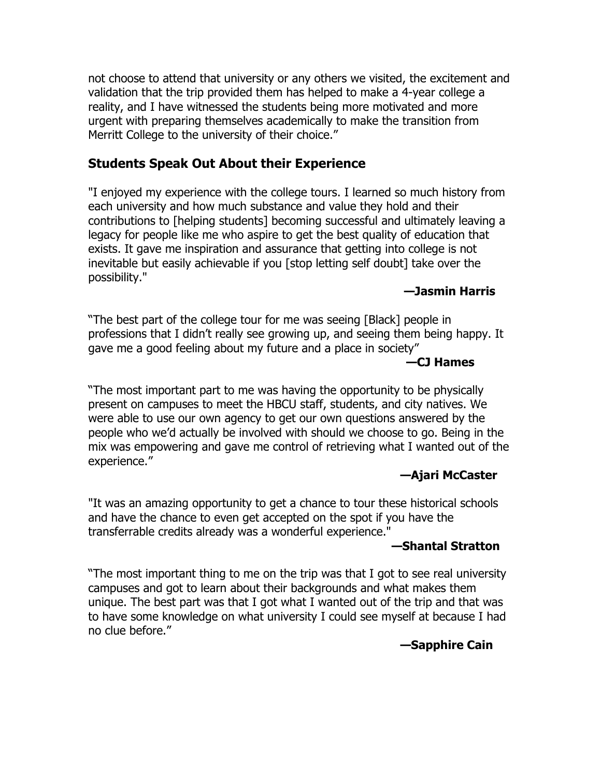not choose to attend that university or any others we visited, the excitement and validation that the trip provided them has helped to make a 4-year college a reality, and I have witnessed the students being more motivated and more urgent with preparing themselves academically to make the transition from Merritt College to the university of their choice."

## **Students Speak Out About their Experience**

"I enjoyed my experience with the college tours. I learned so much history from each university and how much substance and value they hold and their contributions to [helping students] becoming successful and ultimately leaving a legacy for people like me who aspire to get the best quality of education that exists. It gave me inspiration and assurance that getting into college is not inevitable but easily achievable if you [stop letting self doubt] take over the possibility."

### **—Jasmin Harris**

"The best part of the college tour for me was seeing [Black] people in professions that I didn't really see growing up, and seeing them being happy. It gave me a good feeling about my future and a place in society"

### **—CJ Hames**

"The most important part to me was having the opportunity to be physically present on campuses to meet the HBCU staff, students, and city natives. We were able to use our own agency to get our own questions answered by the people who we'd actually be involved with should we choose to go. Being in the mix was empowering and gave me control of retrieving what I wanted out of the experience."

### **—Ajari McCaster**

"It was an amazing opportunity to get a chance to tour these historical schools and have the chance to even get accepted on the spot if you have the transferrable credits already was a wonderful experience."

### **—Shantal Stratton**

"The most important thing to me on the trip was that I got to see real university campuses and got to learn about their backgrounds and what makes them unique. The best part was that I got what I wanted out of the trip and that was to have some knowledge on what university I could see myself at because I had no clue before."

# **—Sapphire Cain**